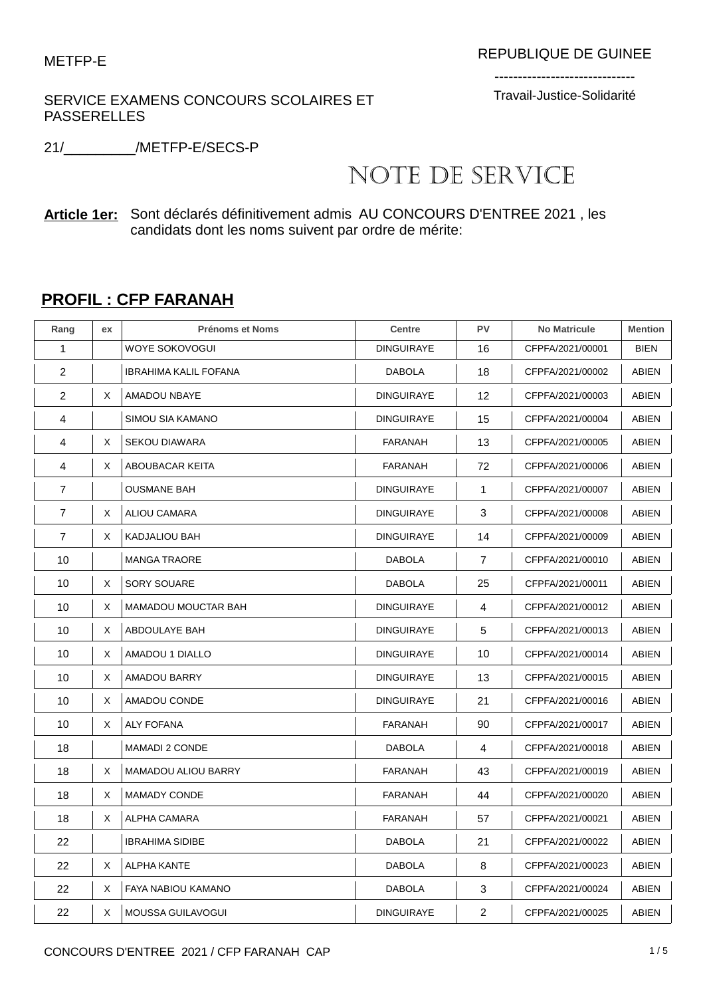SERVICE EXAMENS CONCOURS SCOLAIRES ET PASSERELLES

------------------------------ Travail-Justice-Solidarité

21/\_\_\_\_\_\_\_\_\_/METFP-E/SECS-P

## NOTE DE SERVICE

**Article 1er:** Sont déclarés définitivement admis AU CONCOURS D'ENTREE 2021 , les candidats dont les noms suivent par ordre de mérite:

## **PROFIL : CFP FARANAH**

| Rang           | ex | <b>Prénoms et Noms</b>       | <b>Centre</b>     | PV             | <b>No Matricule</b> | <b>Mention</b> |
|----------------|----|------------------------------|-------------------|----------------|---------------------|----------------|
| $\mathbf{1}$   |    | WOYE SOKOVOGUI               | <b>DINGUIRAYE</b> | 16             | CFPFA/2021/00001    | <b>BIEN</b>    |
| 2              |    | <b>IBRAHIMA KALIL FOFANA</b> | <b>DABOLA</b>     | 18             | CFPFA/2021/00002    | <b>ABIEN</b>   |
| $\overline{2}$ | X  | AMADOU NBAYE                 | <b>DINGUIRAYE</b> | 12             | CFPFA/2021/00003    | ABIEN          |
| 4              |    | SIMOU SIA KAMANO             | <b>DINGUIRAYE</b> | 15             | CFPFA/2021/00004    | <b>ABIEN</b>   |
| 4              | X  | <b>SEKOU DIAWARA</b>         | <b>FARANAH</b>    | 13             | CFPFA/2021/00005    | <b>ABIEN</b>   |
| 4              | X  | ABOUBACAR KEITA              | FARANAH           | 72             | CFPFA/2021/00006    | ABIEN          |
| 7              |    | <b>OUSMANE BAH</b>           | <b>DINGUIRAYE</b> | $\mathbf{1}$   | CFPFA/2021/00007    | ABIEN          |
| 7              | X  | <b>ALIOU CAMARA</b>          | <b>DINGUIRAYE</b> | 3              | CFPFA/2021/00008    | ABIEN          |
| $\overline{7}$ | X  | <b>KADJALIOU BAH</b>         | <b>DINGUIRAYE</b> | 14             | CFPFA/2021/00009    | ABIEN          |
| 10             |    | <b>MANGA TRAORE</b>          | <b>DABOLA</b>     | $\overline{7}$ | CFPFA/2021/00010    | ABIEN          |
| 10             | Χ  | <b>SORY SOUARE</b>           | <b>DABOLA</b>     | 25             | CFPFA/2021/00011    | ABIEN          |
| 10             | X  | <b>MAMADOU MOUCTAR BAH</b>   | <b>DINGUIRAYE</b> | 4              | CFPFA/2021/00012    | <b>ABIEN</b>   |
| 10             | X  | ABDOULAYE BAH                | <b>DINGUIRAYE</b> | 5              | CFPFA/2021/00013    | ABIEN          |
| 10             | Χ  | AMADOU 1 DIALLO              | <b>DINGUIRAYE</b> | 10             | CFPFA/2021/00014    | <b>ABIEN</b>   |
| 10             | X  | AMADOU BARRY                 | <b>DINGUIRAYE</b> | 13             | CFPFA/2021/00015    | ABIEN          |
| 10             | X  | AMADOU CONDE                 | <b>DINGUIRAYE</b> | 21             | CFPFA/2021/00016    | ABIEN          |
| 10             | X  | <b>ALY FOFANA</b>            | FARANAH           | 90             | CFPFA/2021/00017    | ABIEN          |
| 18             |    | <b>MAMADI 2 CONDE</b>        | <b>DABOLA</b>     | $\overline{4}$ | CFPFA/2021/00018    | ABIEN          |
| 18             | X  | MAMADOU ALIOU BARRY          | <b>FARANAH</b>    | 43             | CFPFA/2021/00019    | <b>ABIEN</b>   |
| 18             | X  | <b>MAMADY CONDE</b>          | FARANAH           | 44             | CFPFA/2021/00020    | ABIEN          |
| 18             | Χ  | ALPHA CAMARA                 | FARANAH           | 57             | CFPFA/2021/00021    | ABIEN          |
| 22             |    | <b>IBRAHIMA SIDIBE</b>       | <b>DABOLA</b>     | 21             | CFPFA/2021/00022    | ABIEN          |
| 22             | Χ  | <b>ALPHA KANTE</b>           | <b>DABOLA</b>     | 8              | CFPFA/2021/00023    | ABIEN          |
| 22             | X  | FAYA NABIOU KAMANO           | <b>DABOLA</b>     | 3              | CFPFA/2021/00024    | ABIEN          |
| 22             | Χ  | MOUSSA GUILAVOGUI            | <b>DINGUIRAYE</b> | $\overline{2}$ | CFPFA/2021/00025    | ABIEN          |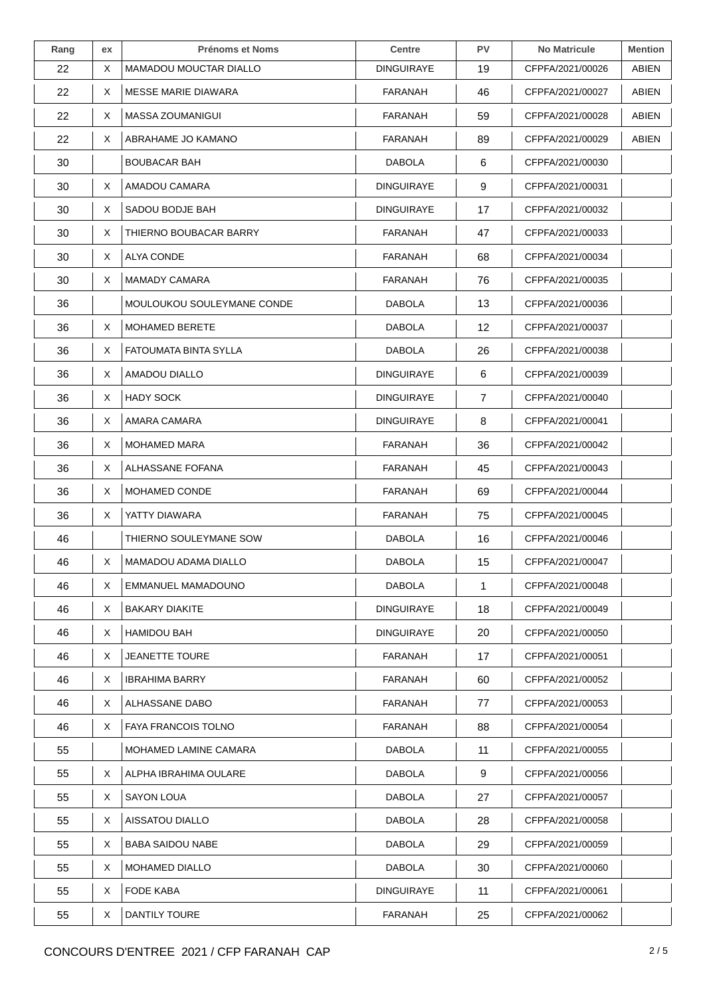| Rang | ex | <b>Prénoms et Noms</b>     | <b>Centre</b>     | <b>PV</b>      | <b>No Matricule</b> | <b>Mention</b> |
|------|----|----------------------------|-------------------|----------------|---------------------|----------------|
| 22   | X  | MAMADOU MOUCTAR DIALLO     | <b>DINGUIRAYE</b> | 19             | CFPFA/2021/00026    | ABIEN          |
| 22   | X  | <b>MESSE MARIE DIAWARA</b> | FARANAH           | 46             | CFPFA/2021/00027    | <b>ABIEN</b>   |
| 22   | Χ  | <b>MASSA ZOUMANIGUI</b>    | FARANAH           | 59             | CFPFA/2021/00028    | <b>ABIEN</b>   |
| 22   | X  | ABRAHAME JO KAMANO         | <b>FARANAH</b>    | 89             | CFPFA/2021/00029    | ABIEN          |
| 30   |    | <b>BOUBACAR BAH</b>        | <b>DABOLA</b>     | 6              | CFPFA/2021/00030    |                |
| 30   | X  | AMADOU CAMARA              | DINGUIRAYE        | 9              | CFPFA/2021/00031    |                |
| 30   | X  | SADOU BODJE BAH            | DINGUIRAYE        | 17             | CFPFA/2021/00032    |                |
| 30   | X  | THIERNO BOUBACAR BARRY     | FARANAH           | 47             | CFPFA/2021/00033    |                |
| 30   | X  | ALYA CONDE                 | FARANAH           | 68             | CFPFA/2021/00034    |                |
| 30   | X  | <b>MAMADY CAMARA</b>       | <b>FARANAH</b>    | 76             | CFPFA/2021/00035    |                |
| 36   |    | MOULOUKOU SOULEYMANE CONDE | <b>DABOLA</b>     | 13             | CFPFA/2021/00036    |                |
| 36   | X  | <b>MOHAMED BERETE</b>      | <b>DABOLA</b>     | 12             | CFPFA/2021/00037    |                |
| 36   | X  | FATOUMATA BINTA SYLLA      | <b>DABOLA</b>     | 26             | CFPFA/2021/00038    |                |
| 36   | X  | AMADOU DIALLO              | DINGUIRAYE        | 6              | CFPFA/2021/00039    |                |
| 36   | X  | <b>HADY SOCK</b>           | DINGUIRAYE        | $\overline{7}$ | CFPFA/2021/00040    |                |
| 36   | X  | AMARA CAMARA               | <b>DINGUIRAYE</b> | 8              | CFPFA/2021/00041    |                |
| 36   | X  | <b>MOHAMED MARA</b>        | FARANAH           | 36             | CFPFA/2021/00042    |                |
| 36   | X  | ALHASSANE FOFANA           | FARANAH           | 45             | CFPFA/2021/00043    |                |
| 36   | X  | MOHAMED CONDE              | FARANAH           | 69             | CFPFA/2021/00044    |                |
| 36   | X  | YATTY DIAWARA              | <b>FARANAH</b>    | 75             | CFPFA/2021/00045    |                |
| 46   |    | THIERNO SOULEYMANE SOW     | <b>DABOLA</b>     | 16             | CFPFA/2021/00046    |                |
| 46   | X  | MAMADOU ADAMA DIALLO       | <b>DABOLA</b>     | 15             | CFPFA/2021/00047    |                |
| 46   | X  | EMMANUEL MAMADOUNO         | <b>DABOLA</b>     | 1              | CFPFA/2021/00048    |                |
| 46   | X  | <b>BAKARY DIAKITE</b>      | <b>DINGUIRAYE</b> | 18             | CFPFA/2021/00049    |                |
| 46   | X  | <b>HAMIDOU BAH</b>         | <b>DINGUIRAYE</b> | 20             | CFPFA/2021/00050    |                |
| 46   | X  | <b>JEANETTE TOURE</b>      | FARANAH           | 17             | CFPFA/2021/00051    |                |
| 46   | X  | <b>IBRAHIMA BARRY</b>      | FARANAH           | 60             | CFPFA/2021/00052    |                |
| 46   | X  | ALHASSANE DABO             | FARANAH           | 77             | CFPFA/2021/00053    |                |
| 46   | X  | <b>FAYA FRANCOIS TOLNO</b> | FARANAH           | 88             | CFPFA/2021/00054    |                |
| 55   |    | MOHAMED LAMINE CAMARA      | <b>DABOLA</b>     | 11             | CFPFA/2021/00055    |                |
| 55   | X  | ALPHA IBRAHIMA OULARE      | <b>DABOLA</b>     | 9              | CFPFA/2021/00056    |                |
| 55   | X  | SAYON LOUA                 | <b>DABOLA</b>     | 27             | CFPFA/2021/00057    |                |
| 55   | X  | AISSATOU DIALLO            | <b>DABOLA</b>     | 28             | CFPFA/2021/00058    |                |
| 55   | X  | <b>BABA SAIDOU NABE</b>    | <b>DABOLA</b>     | 29             | CFPFA/2021/00059    |                |
| 55   | X  | <b>MOHAMED DIALLO</b>      | <b>DABOLA</b>     | 30             | CFPFA/2021/00060    |                |
| 55   | X  | FODE KABA                  | DINGUIRAYE        | 11             | CFPFA/2021/00061    |                |
| 55   | X  | DANTILY TOURE              | <b>FARANAH</b>    | 25             | CFPFA/2021/00062    |                |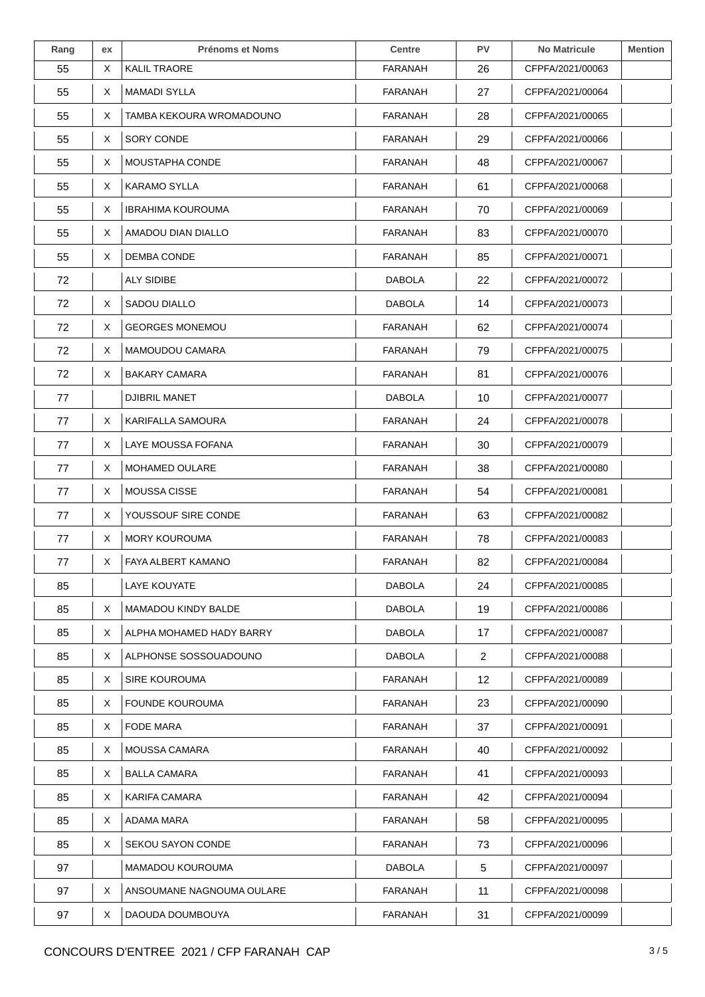| Rang | ex | <b>Prénoms et Noms</b>    | <b>Centre</b>  | PV         | <b>No Matricule</b> | <b>Mention</b> |
|------|----|---------------------------|----------------|------------|---------------------|----------------|
| 55   | X  | <b>KALIL TRAORE</b>       | <b>FARANAH</b> | 26         | CFPFA/2021/00063    |                |
| 55   | X  | <b>MAMADI SYLLA</b>       | <b>FARANAH</b> | 27         | CFPFA/2021/00064    |                |
| 55   | X  | TAMBA KEKOURA WROMADOUNO  | FARANAH        | 28         | CFPFA/2021/00065    |                |
| 55   | X  | SORY CONDE                | FARANAH        | 29         | CFPFA/2021/00066    |                |
| 55   | X  | MOUSTAPHA CONDE           | <b>FARANAH</b> | 48         | CFPFA/2021/00067    |                |
| 55   | X  | <b>KARAMO SYLLA</b>       | FARANAH        | 61         | CFPFA/2021/00068    |                |
| 55   | X  | IBRAHIMA KOUROUMA         | FARANAH        | 70         | CFPFA/2021/00069    |                |
| 55   | X  | AMADOU DIAN DIALLO        | FARANAH        | 83         | CFPFA/2021/00070    |                |
| 55   | X  | DEMBA CONDE               | <b>FARANAH</b> | 85         | CFPFA/2021/00071    |                |
| 72   |    | ALY SIDIBE                | <b>DABOLA</b>  | 22         | CFPFA/2021/00072    |                |
| 72   | X  | SADOU DIALLO              | <b>DABOLA</b>  | 14         | CFPFA/2021/00073    |                |
| 72   | X  | <b>GEORGES MONEMOU</b>    | FARANAH        | 62         | CFPFA/2021/00074    |                |
| 72   | X  | MAMOUDOU CAMARA           | <b>FARANAH</b> | 79         | CFPFA/2021/00075    |                |
| 72   | X  | BAKARY CAMARA             | FARANAH        | 81         | CFPFA/2021/00076    |                |
| 77   |    | DJIBRIL MANET             | <b>DABOLA</b>  | 10         | CFPFA/2021/00077    |                |
| 77   | X  | KARIFALLA SAMOURA         | <b>FARANAH</b> | 24         | CFPFA/2021/00078    |                |
| 77   | X  | LAYE MOUSSA FOFANA        | FARANAH        | 30         | CFPFA/2021/00079    |                |
| 77   | X  | MOHAMED OULARE            | <b>FARANAH</b> | 38         | CFPFA/2021/00080    |                |
| 77   | Χ  | MOUSSA CISSE              | <b>FARANAH</b> | 54         | CFPFA/2021/00081    |                |
| 77   | X  | YOUSSOUF SIRE CONDE       | FARANAH        | 63         | CFPFA/2021/00082    |                |
| 77   | X  | <b>MORY KOUROUMA</b>      | FARANAH        | 78         | CFPFA/2021/00083    |                |
| 77   | Χ  | FAYA ALBERT KAMANO        | FARANAH        | 82         | CFPFA/2021/00084    |                |
| 85   |    | LAYE KOUYATE              | <b>DABOLA</b>  | 24         | CFPFA/2021/00085    |                |
| 85   | Χ  | MAMADOU KINDY BALDE       | DABOLA         | 19         | CFPFA/2021/00086    |                |
| 85   | X  | ALPHA MOHAMED HADY BARRY  | <b>DABOLA</b>  | 17         | CFPFA/2021/00087    |                |
| 85   | X  | ALPHONSE SOSSOUADOUNO     | <b>DABOLA</b>  | 2          | CFPFA/2021/00088    |                |
| 85   | X  | <b>SIRE KOUROUMA</b>      | FARANAH        | 12         | CFPFA/2021/00089    |                |
| 85   | X  | FOUNDE KOUROUMA           | FARANAH        | 23         | CFPFA/2021/00090    |                |
| 85   | X  | <b>FODE MARA</b>          | <b>FARANAH</b> | 37         | CFPFA/2021/00091    |                |
| 85   | X  | MOUSSA CAMARA             | FARANAH        | 40         | CFPFA/2021/00092    |                |
| 85   | X  | <b>BALLA CAMARA</b>       | FARANAH        | 41         | CFPFA/2021/00093    |                |
| 85   | X  | KARIFA CAMARA             | FARANAH        | 42         | CFPFA/2021/00094    |                |
| 85   | X  | ADAMA MARA                | FARANAH        | 58         | CFPFA/2021/00095    |                |
| 85   | X  | SEKOU SAYON CONDE         | FARANAH        | 73         | CFPFA/2021/00096    |                |
| 97   |    | MAMADOU KOUROUMA          | <b>DABOLA</b>  | $\sqrt{5}$ | CFPFA/2021/00097    |                |
| 97   | X  | ANSOUMANE NAGNOUMA OULARE | FARANAH        | 11         | CFPFA/2021/00098    |                |
| 97   | X  | DAOUDA DOUMBOUYA          | FARANAH        | 31         | CFPFA/2021/00099    |                |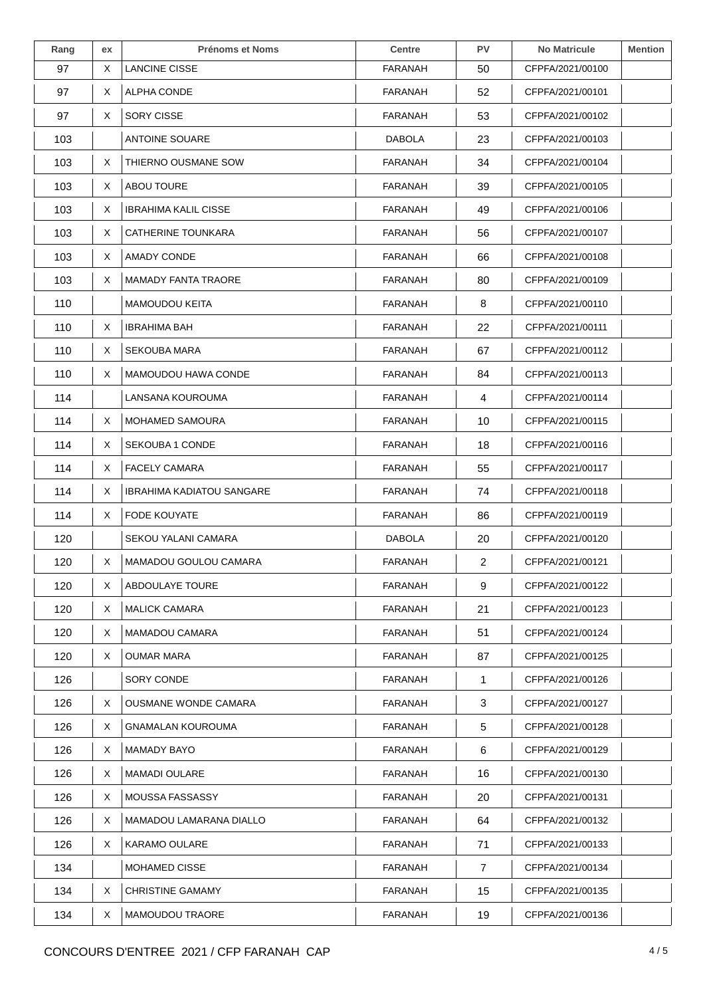| Rang | ex | <b>Prénoms et Noms</b>           | <b>Centre</b>  | <b>PV</b>      | <b>No Matricule</b> | <b>Mention</b> |
|------|----|----------------------------------|----------------|----------------|---------------------|----------------|
| 97   | Χ  | <b>LANCINE CISSE</b>             | FARANAH        | 50             | CFPFA/2021/00100    |                |
| 97   | X  | <b>ALPHA CONDE</b>               | <b>FARANAH</b> | 52             | CFPFA/2021/00101    |                |
| 97   | X  | <b>SORY CISSE</b>                | FARANAH        | 53             | CFPFA/2021/00102    |                |
| 103  |    | ANTOINE SOUARE                   | <b>DABOLA</b>  | 23             | CFPFA/2021/00103    |                |
| 103  | Χ  | THIERNO OUSMANE SOW              | <b>FARANAH</b> | 34             | CFPFA/2021/00104    |                |
| 103  | X  | ABOU TOURE                       | FARANAH        | 39             | CFPFA/2021/00105    |                |
| 103  | X  | <b>IBRAHIMA KALIL CISSE</b>      | FARANAH        | 49             | CFPFA/2021/00106    |                |
| 103  | X  | CATHERINE TOUNKARA               | FARANAH        | 56             | CFPFA/2021/00107    |                |
| 103  | X  | AMADY CONDE                      | FARANAH        | 66             | CFPFA/2021/00108    |                |
| 103  | Χ  | <b>MAMADY FANTA TRAORE</b>       | <b>FARANAH</b> | 80             | CFPFA/2021/00109    |                |
| 110  |    | <b>MAMOUDOU KEITA</b>            | <b>FARANAH</b> | 8              | CFPFA/2021/00110    |                |
| 110  | X  | <b>IBRAHIMA BAH</b>              | FARANAH        | 22             | CFPFA/2021/00111    |                |
| 110  | X  | <b>SEKOUBA MARA</b>              | <b>FARANAH</b> | 67             | CFPFA/2021/00112    |                |
| 110  | X  | MAMOUDOU HAWA CONDE              | <b>FARANAH</b> | 84             | CFPFA/2021/00113    |                |
| 114  |    | LANSANA KOUROUMA                 | FARANAH        | 4              | CFPFA/2021/00114    |                |
| 114  | X  | MOHAMED SAMOURA                  | FARANAH        | 10             | CFPFA/2021/00115    |                |
| 114  | X  | SEKOUBA 1 CONDE                  | FARANAH        | 18             | CFPFA/2021/00116    |                |
| 114  | X  | <b>FACELY CAMARA</b>             | FARANAH        | 55             | CFPFA/2021/00117    |                |
| 114  | Χ  | <b>IBRAHIMA KADIATOU SANGARE</b> | <b>FARANAH</b> | 74             | CFPFA/2021/00118    |                |
| 114  | X  | FODE KOUYATE                     | <b>FARANAH</b> | 86             | CFPFA/2021/00119    |                |
| 120  |    | SEKOU YALANI CAMARA              | <b>DABOLA</b>  | 20             | CFPFA/2021/00120    |                |
| 120  | Χ  | MAMADOU GOULOU CAMARA            | FARANAH        | 2              | CFPFA/2021/00121    |                |
| 120  | X  | ABDOULAYE TOURE                  | FARANAH        | 9              | CFPFA/2021/00122    |                |
| 120  | X  | <b>MALICK CAMARA</b>             | FARANAH        | 21             | CFPFA/2021/00123    |                |
| 120  | X  | <b>MAMADOU CAMARA</b>            | FARANAH        | 51             | CFPFA/2021/00124    |                |
| 120  | X  | <b>OUMAR MARA</b>                | <b>FARANAH</b> | 87             | CFPFA/2021/00125    |                |
| 126  |    | SORY CONDE                       | <b>FARANAH</b> | 1              | CFPFA/2021/00126    |                |
| 126  | X  | <b>OUSMANE WONDE CAMARA</b>      | FARANAH        | 3              | CFPFA/2021/00127    |                |
| 126  | X  | GNAMALAN KOUROUMA                | FARANAH        | 5              | CFPFA/2021/00128    |                |
| 126  | X  | MAMADY BAYO                      | FARANAH        | 6              | CFPFA/2021/00129    |                |
| 126  | X  | <b>MAMADI OULARE</b>             | <b>FARANAH</b> | 16             | CFPFA/2021/00130    |                |
| 126  | X  | <b>MOUSSA FASSASSY</b>           | <b>FARANAH</b> | 20             | CFPFA/2021/00131    |                |
| 126  | X  | MAMADOU LAMARANA DIALLO          | <b>FARANAH</b> | 64             | CFPFA/2021/00132    |                |
| 126  | X. | <b>KARAMO OULARE</b>             | FARANAH        | 71             | CFPFA/2021/00133    |                |
| 134  |    | <b>MOHAMED CISSE</b>             | FARANAH        | $\overline{7}$ | CFPFA/2021/00134    |                |
| 134  | X  | <b>CHRISTINE GAMAMY</b>          | FARANAH        | 15             | CFPFA/2021/00135    |                |
| 134  | Χ  | <b>MAMOUDOU TRAORE</b>           | <b>FARANAH</b> | 19             | CFPFA/2021/00136    |                |